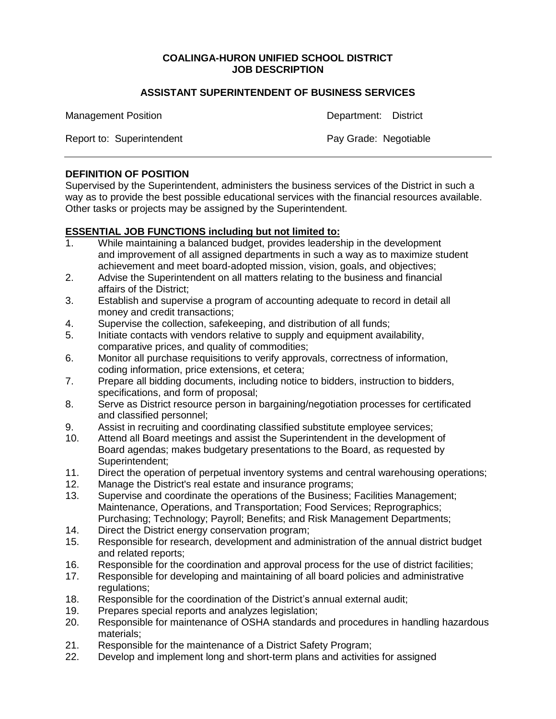### **COALINGA-HURON UNIFIED SCHOOL DISTRICT JOB DESCRIPTION**

#### **ASSISTANT SUPERINTENDENT OF BUSINESS SERVICES**

Management Position **Department:** District

Report to: Superintendent **Pay Grade: Negotiable** Pay Grade: Negotiable

### **DEFINITION OF POSITION**

Supervised by the Superintendent, administers the business services of the District in such a way as to provide the best possible educational services with the financial resources available. Other tasks or projects may be assigned by the Superintendent.

#### **ESSENTIAL JOB FUNCTIONS including but not limited to:**

- 1. While maintaining a balanced budget, provides leadership in the development and improvement of all assigned departments in such a way as to maximize student achievement and meet board-adopted mission, vision, goals, and objectives;
- 2. Advise the Superintendent on all matters relating to the business and financial affairs of the District;
- 3. Establish and supervise a program of accounting adequate to record in detail all money and credit transactions;
- 4. Supervise the collection, safekeeping, and distribution of all funds;
- 5. Initiate contacts with vendors relative to supply and equipment availability, comparative prices, and quality of commodities;
- 6. Monitor all purchase requisitions to verify approvals, correctness of information, coding information, price extensions, et cetera;
- 7. Prepare all bidding documents, including notice to bidders, instruction to bidders, specifications, and form of proposal;
- 8. Serve as District resource person in bargaining/negotiation processes for certificated and classified personnel;
- 9. Assist in recruiting and coordinating classified substitute employee services;
- 10. Attend all Board meetings and assist the Superintendent in the development of Board agendas; makes budgetary presentations to the Board, as requested by Superintendent;
- 11. Direct the operation of perpetual inventory systems and central warehousing operations;
- 12. Manage the District's real estate and insurance programs;
- 13. Supervise and coordinate the operations of the Business; Facilities Management; Maintenance, Operations, and Transportation; Food Services; Reprographics; Purchasing; Technology; Payroll; Benefits; and Risk Management Departments;
- 14. Direct the District energy conservation program;
- 15. Responsible for research, development and administration of the annual district budget and related reports;
- 16. Responsible for the coordination and approval process for the use of district facilities;
- 17. Responsible for developing and maintaining of all board policies and administrative regulations:
- 18. Responsible for the coordination of the District's annual external audit;
- 19. Prepares special reports and analyzes legislation;
- 20. Responsible for maintenance of OSHA standards and procedures in handling hazardous materials;
- 21. Responsible for the maintenance of a District Safety Program;
- 22. Develop and implement long and short-term plans and activities for assigned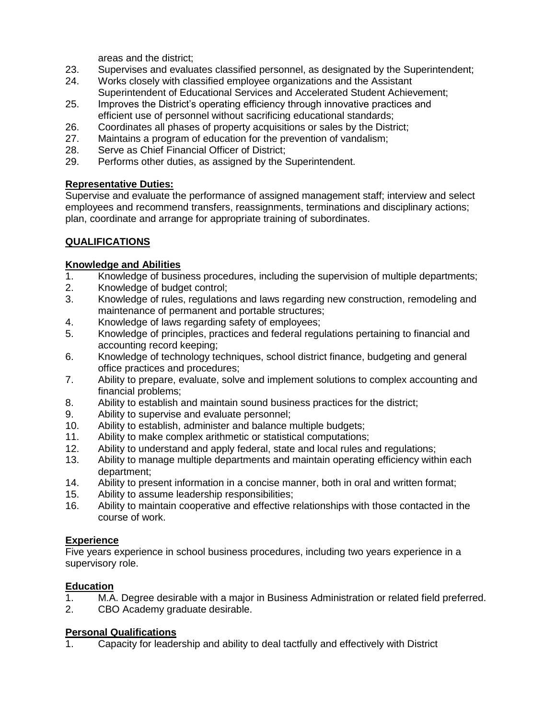areas and the district;

- 23. Supervises and evaluates classified personnel, as designated by the Superintendent;
- 24. Works closely with classified employee organizations and the Assistant Superintendent of Educational Services and Accelerated Student Achievement;
- 25. Improves the District's operating efficiency through innovative practices and efficient use of personnel without sacrificing educational standards;
- 26. Coordinates all phases of property acquisitions or sales by the District;
- 27. Maintains a program of education for the prevention of vandalism;
- 28. Serve as Chief Financial Officer of District;
- 29. Performs other duties, as assigned by the Superintendent.

## **Representative Duties:**

Supervise and evaluate the performance of assigned management staff; interview and select employees and recommend transfers, reassignments, terminations and disciplinary actions; plan, coordinate and arrange for appropriate training of subordinates.

# **QUALIFICATIONS**

## **Knowledge and Abilities**

- 1. Knowledge of business procedures, including the supervision of multiple departments;
- 2. Knowledge of budget control;
- 3. Knowledge of rules, regulations and laws regarding new construction, remodeling and maintenance of permanent and portable structures;
- 4. Knowledge of laws regarding safety of employees;
- 5. Knowledge of principles, practices and federal regulations pertaining to financial and accounting record keeping;
- 6. Knowledge of technology techniques, school district finance, budgeting and general office practices and procedures;
- 7. Ability to prepare, evaluate, solve and implement solutions to complex accounting and financial problems;
- 8. Ability to establish and maintain sound business practices for the district;
- 9. Ability to supervise and evaluate personnel;
- 10. Ability to establish, administer and balance multiple budgets;
- 11. Ability to make complex arithmetic or statistical computations;
- 12. Ability to understand and apply federal, state and local rules and regulations;
- 13. Ability to manage multiple departments and maintain operating efficiency within each department;
- 14. Ability to present information in a concise manner, both in oral and written format;
- 15. Ability to assume leadership responsibilities;
- 16. Ability to maintain cooperative and effective relationships with those contacted in the course of work.

# **Experience**

Five years experience in school business procedures, including two years experience in a supervisory role.

# **Education**

- 1. M.A. Degree desirable with a major in Business Administration or related field preferred.
- 2. CBO Academy graduate desirable.

### **Personal Qualifications**

1. Capacity for leadership and ability to deal tactfully and effectively with District